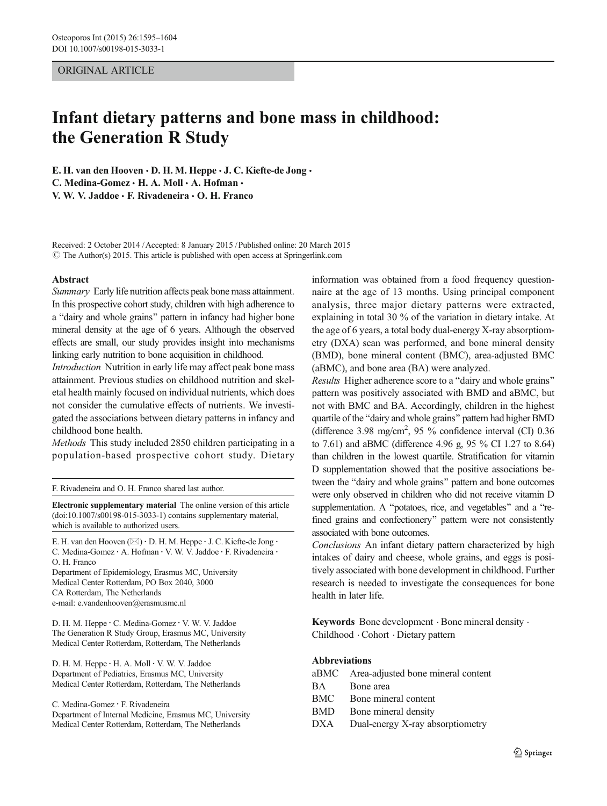## ORIGINAL ARTICLE

# Infant dietary patterns and bone mass in childhood: the Generation R Study

E. H. van den Hooven  $\cdot$  D. H. M. Heppe  $\cdot$  J. C. Kiefte-de Jong  $\cdot$ C. Medina-Gomez · H. A. Moll · A. Hofman · V. W. V. Jaddoe & F. Rivadeneira & O. H. Franco

Received: 2 October 2014 /Accepted: 8 January 2015 /Published online: 20 March 2015  $\odot$  The Author(s) 2015. This article is published with open access at Springerlink.com

#### Abstract

Summary Early life nutrition affects peak bone mass attainment. In this prospective cohort study, children with high adherence to a "dairy and whole grains" pattern in infancy had higher bone mineral density at the age of 6 years. Although the observed effects are small, our study provides insight into mechanisms linking early nutrition to bone acquisition in childhood.

Introduction Nutrition in early life may affect peak bone mass attainment. Previous studies on childhood nutrition and skeletal health mainly focused on individual nutrients, which does not consider the cumulative effects of nutrients. We investigated the associations between dietary patterns in infancy and childhood bone health.

Methods This study included 2850 children participating in a population-based prospective cohort study. Dietary

F. Rivadeneira and O. H. Franco shared last author.

Electronic supplementary material The online version of this article (doi[:10.1007/s00198-015-3033-1](http://dx.doi.org/10.1007/s00198-015-3033-1)) contains supplementary material, which is available to authorized users.

E. H. van den Hooven ( $\boxtimes$ ) · D. H. M. Heppe · J. C. Kiefte-de Jong · C. Medina-Gomez : A. Hofman : V. W. V. Jaddoe : F. Rivadeneira : O. H. Franco

Department of Epidemiology, Erasmus MC, University Medical Center Rotterdam, PO Box 2040, 3000 CA Rotterdam, The Netherlands e-mail: e.vandenhooven@erasmusmc.nl

D. H. M. Heppe : C. Medina-Gomez : V. W. V. Jaddoe The Generation R Study Group, Erasmus MC, University Medical Center Rotterdam, Rotterdam, The Netherlands

D. H. M. Heppe · H. A. Moll · V. W. V. Jaddoe Department of Pediatrics, Erasmus MC, University Medical Center Rotterdam, Rotterdam, The Netherlands

C. Medina-Gomez : F. Rivadeneira

Department of Internal Medicine, Erasmus MC, University Medical Center Rotterdam, Rotterdam, The Netherlands

information was obtained from a food frequency questionnaire at the age of 13 months. Using principal component analysis, three major dietary patterns were extracted, explaining in total 30 % of the variation in dietary intake. At the age of 6 years, a total body dual-energy X-ray absorptiometry (DXA) scan was performed, and bone mineral density (BMD), bone mineral content (BMC), area-adjusted BMC (aBMC), and bone area (BA) were analyzed.

Results Higher adherence score to a "dairy and whole grains" pattern was positively associated with BMD and aBMC, but not with BMC and BA. Accordingly, children in the highest quartile of the "dairy and whole grains" pattern had higher BMD (difference 3.98 mg/cm<sup>2</sup>, 95 % confidence interval (CI) 0.36 to 7.61) and aBMC (difference 4.96 g, 95 % CI 1.27 to 8.64) than children in the lowest quartile. Stratification for vitamin D supplementation showed that the positive associations between the "dairy and whole grains" pattern and bone outcomes were only observed in children who did not receive vitamin D supplementation. A "potatoes, rice, and vegetables" and a "refined grains and confectionery" pattern were not consistently associated with bone outcomes.

Conclusions An infant dietary pattern characterized by high intakes of dairy and cheese, whole grains, and eggs is positively associated with bone development in childhood. Further research is needed to investigate the consequences for bone health in later life.

Keywords Bone development  $\cdot$  Bone mineral density  $\cdot$ Childhood . Cohort . Dietary pattern

# Abbreviations

|     | aBMC Area-adjusted bone mineral content |
|-----|-----------------------------------------|
| BA  | Bone area                               |
| BMC | Bone mineral content                    |
| BMD | Bone mineral density                    |
|     | DXA Dual-energy X-ray absorptiometry    |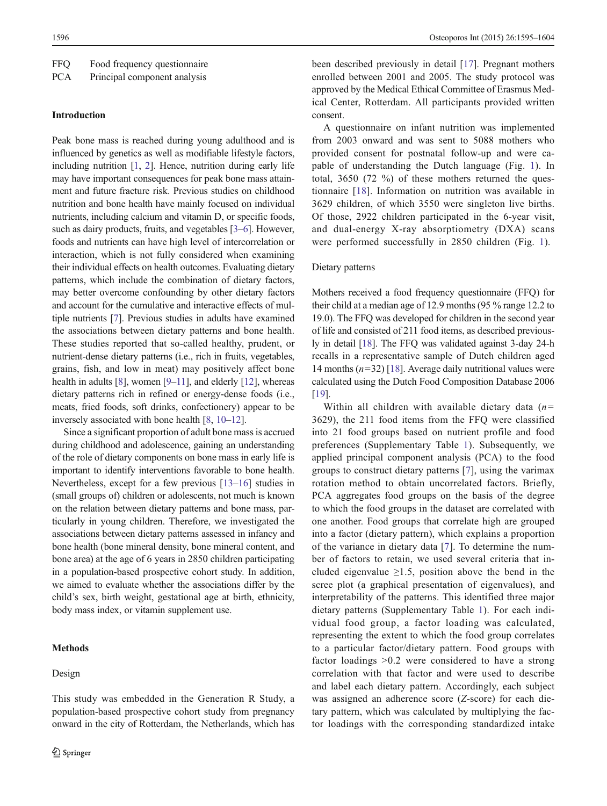| FFQ<br>Food frequency questionnaire |
|-------------------------------------|
|-------------------------------------|

PCA Principal component analysis

# Introduction

Peak bone mass is reached during young adulthood and is influenced by genetics as well as modifiable lifestyle factors, including nutrition [\[1](#page-8-0), [2](#page-8-0)]. Hence, nutrition during early life may have important consequences for peak bone mass attainment and future fracture risk. Previous studies on childhood nutrition and bone health have mainly focused on individual nutrients, including calcium and vitamin D, or specific foods, such as dairy products, fruits, and vegetables [[3](#page-8-0)–[6\]](#page-8-0). However, foods and nutrients can have high level of intercorrelation or interaction, which is not fully considered when examining their individual effects on health outcomes. Evaluating dietary patterns, which include the combination of dietary factors, may better overcome confounding by other dietary factors and account for the cumulative and interactive effects of multiple nutrients [\[7](#page-8-0)]. Previous studies in adults have examined the associations between dietary patterns and bone health. These studies reported that so-called healthy, prudent, or nutrient-dense dietary patterns (i.e., rich in fruits, vegetables, grains, fish, and low in meat) may positively affect bone health in adults [[8\]](#page-8-0), women [\[9](#page-8-0)–[11](#page-8-0)], and elderly [[12](#page-8-0)], whereas dietary patterns rich in refined or energy-dense foods (i.e., meats, fried foods, soft drinks, confectionery) appear to be inversely associated with bone health [\[8,](#page-8-0) [10](#page-8-0)–[12\]](#page-8-0).

Since a significant proportion of adult bone mass is accrued during childhood and adolescence, gaining an understanding of the role of dietary components on bone mass in early life is important to identify interventions favorable to bone health. Nevertheless, except for a few previous [[13](#page-8-0)–[16\]](#page-9-0) studies in (small groups of) children or adolescents, not much is known on the relation between dietary patterns and bone mass, particularly in young children. Therefore, we investigated the associations between dietary patterns assessed in infancy and bone health (bone mineral density, bone mineral content, and bone area) at the age of 6 years in 2850 children participating in a population-based prospective cohort study. In addition, we aimed to evaluate whether the associations differ by the child's sex, birth weight, gestational age at birth, ethnicity, body mass index, or vitamin supplement use.

This study was embedded in the Generation R Study, a population-based prospective cohort study from pregnancy onward in the city of Rotterdam, the Netherlands, which has

# **Methods**

#### Design

been described previously in detail [[17\]](#page-9-0). Pregnant mothers enrolled between 2001 and 2005. The study protocol was approved by the Medical Ethical Committee of Erasmus Medical Center, Rotterdam. All participants provided written consent.

A questionnaire on infant nutrition was implemented from 2003 onward and was sent to 5088 mothers who provided consent for postnatal follow-up and were capable of understanding the Dutch language (Fig. [1](#page-2-0)). In total, 3650 (72 %) of these mothers returned the questionnaire [[18\]](#page-9-0). Information on nutrition was available in 3629 children, of which 3550 were singleton live births. Of those, 2922 children participated in the 6-year visit, and dual-energy X-ray absorptiometry (DXA) scans were performed successfully in 2850 children (Fig. [1](#page-2-0)).

# Dietary patterns

Mothers received a food frequency questionnaire (FFQ) for their child at a median age of 12.9 months (95 % range 12.2 to 19.0). The FFQ was developed for children in the second year of life and consisted of 211 food items, as described previously in detail [\[18](#page-9-0)]. The FFQ was validated against 3-day 24-h recalls in a representative sample of Dutch children aged 14 months  $(n=32)$  [[18](#page-9-0)]. Average daily nutritional values were calculated using the Dutch Food Composition Database 2006 [\[19](#page-9-0)].

Within all children with available dietary data  $(n=$ 3629), the 211 food items from the FFQ were classified into 21 food groups based on nutrient profile and food preferences (Supplementary Table 1). Subsequently, we applied principal component analysis (PCA) to the food groups to construct dietary patterns [[7](#page-8-0)], using the varimax rotation method to obtain uncorrelated factors. Briefly, PCA aggregates food groups on the basis of the degree to which the food groups in the dataset are correlated with one another. Food groups that correlate high are grouped into a factor (dietary pattern), which explains a proportion of the variance in dietary data [\[7](#page-8-0)]. To determine the number of factors to retain, we used several criteria that included eigenvalue  $\geq 1.5$ , position above the bend in the scree plot (a graphical presentation of eigenvalues), and interpretability of the patterns. This identified three major dietary patterns (Supplementary Table 1). For each individual food group, a factor loading was calculated, representing the extent to which the food group correlates to a particular factor/dietary pattern. Food groups with factor loadings >0.2 were considered to have a strong correlation with that factor and were used to describe and label each dietary pattern. Accordingly, each subject was assigned an adherence score (Z-score) for each dietary pattern, which was calculated by multiplying the factor loadings with the corresponding standardized intake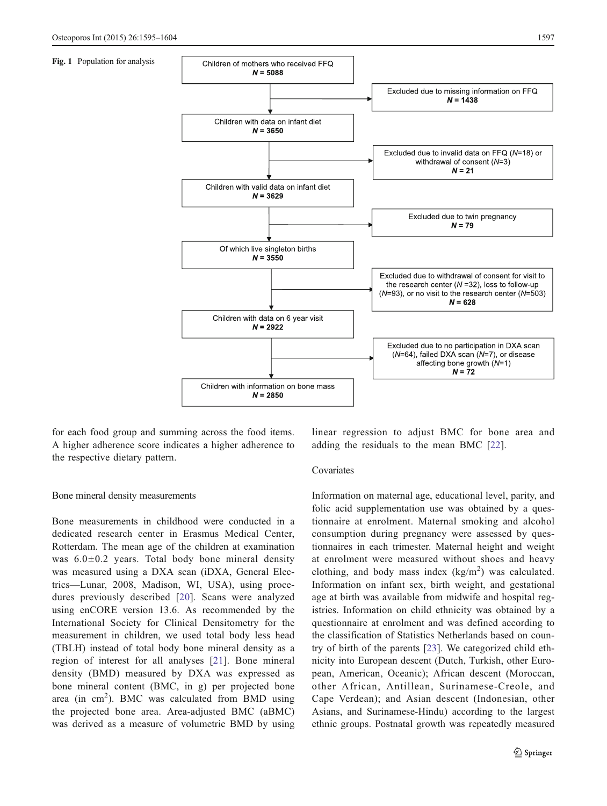<span id="page-2-0"></span>Fig. 1 Population for analysis



for each food group and summing across the food items. A higher adherence score indicates a higher adherence to the respective dietary pattern.

Bone mineral density measurements

Bone measurements in childhood were conducted in a dedicated research center in Erasmus Medical Center, Rotterdam. The mean age of the children at examination was  $6.0 \pm 0.2$  years. Total body bone mineral density was measured using a DXA scan (iDXA, General Electrics—Lunar, 2008, Madison, WI, USA), using procedures previously described [[20](#page-9-0)]. Scans were analyzed using enCORE version 13.6. As recommended by the International Society for Clinical Densitometry for the measurement in children, we used total body less head (TBLH) instead of total body bone mineral density as a region of interest for all analyses [\[21](#page-9-0)]. Bone mineral density (BMD) measured by DXA was expressed as bone mineral content (BMC, in g) per projected bone area (in  $\text{cm}^2$ ). BMC was calculated from BMD using the projected bone area. Area-adjusted BMC (aBMC) was derived as a measure of volumetric BMD by using linear regression to adjust BMC for bone area and adding the residuals to the mean BMC [\[22](#page-9-0)].

# Covariates

Information on maternal age, educational level, parity, and folic acid supplementation use was obtained by a questionnaire at enrolment. Maternal smoking and alcohol consumption during pregnancy were assessed by questionnaires in each trimester. Maternal height and weight at enrolment were measured without shoes and heavy clothing, and body mass index  $(kg/m<sup>2</sup>)$  was calculated. Information on infant sex, birth weight, and gestational age at birth was available from midwife and hospital registries. Information on child ethnicity was obtained by a questionnaire at enrolment and was defined according to the classification of Statistics Netherlands based on country of birth of the parents [[23\]](#page-9-0). We categorized child ethnicity into European descent (Dutch, Turkish, other European, American, Oceanic); African descent (Moroccan, other African, Antillean, Surinamese-Creole, and Cape Verdean); and Asian descent (Indonesian, other Asians, and Surinamese-Hindu) according to the largest ethnic groups. Postnatal growth was repeatedly measured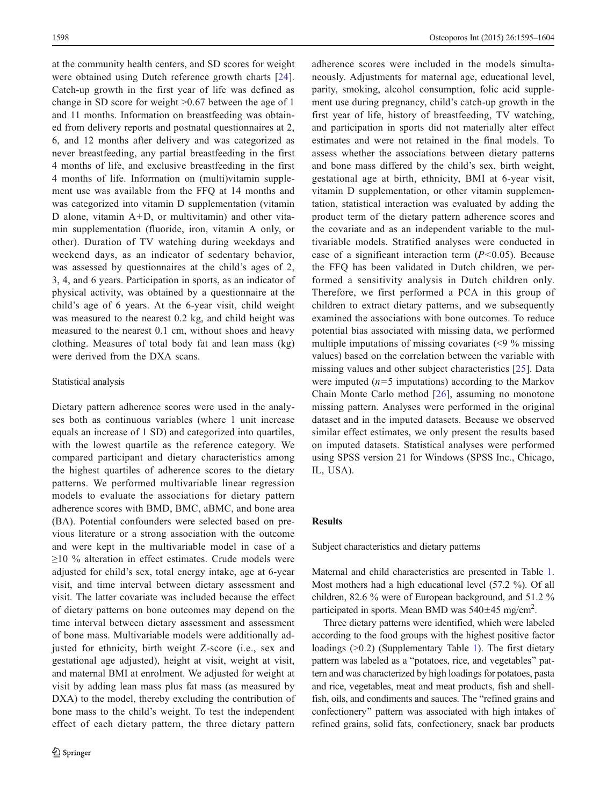at the community health centers, and SD scores for weight were obtained using Dutch reference growth charts [\[24](#page-9-0)]. Catch-up growth in the first year of life was defined as change in SD score for weight >0.67 between the age of 1 and 11 months. Information on breastfeeding was obtained from delivery reports and postnatal questionnaires at 2, 6, and 12 months after delivery and was categorized as never breastfeeding, any partial breastfeeding in the first 4 months of life, and exclusive breastfeeding in the first 4 months of life. Information on (multi)vitamin supplement use was available from the FFQ at 14 months and was categorized into vitamin D supplementation (vitamin D alone, vitamin  $A+D$ , or multivitamin) and other vitamin supplementation (fluoride, iron, vitamin A only, or other). Duration of TV watching during weekdays and weekend days, as an indicator of sedentary behavior, was assessed by questionnaires at the child's ages of 2, 3, 4, and 6 years. Participation in sports, as an indicator of physical activity, was obtained by a questionnaire at the child's age of 6 years. At the 6-year visit, child weight was measured to the nearest 0.2 kg, and child height was measured to the nearest 0.1 cm, without shoes and heavy clothing. Measures of total body fat and lean mass (kg) were derived from the DXA scans.

# Statistical analysis

Dietary pattern adherence scores were used in the analyses both as continuous variables (where 1 unit increase equals an increase of 1 SD) and categorized into quartiles, with the lowest quartile as the reference category. We compared participant and dietary characteristics among the highest quartiles of adherence scores to the dietary patterns. We performed multivariable linear regression models to evaluate the associations for dietary pattern adherence scores with BMD, BMC, aBMC, and bone area (BA). Potential confounders were selected based on previous literature or a strong association with the outcome and were kept in the multivariable model in case of a ≥10 % alteration in effect estimates. Crude models were adjusted for child's sex, total energy intake, age at 6-year visit, and time interval between dietary assessment and visit. The latter covariate was included because the effect of dietary patterns on bone outcomes may depend on the time interval between dietary assessment and assessment of bone mass. Multivariable models were additionally adjusted for ethnicity, birth weight Z-score (i.e., sex and gestational age adjusted), height at visit, weight at visit, and maternal BMI at enrolment. We adjusted for weight at visit by adding lean mass plus fat mass (as measured by DXA) to the model, thereby excluding the contribution of bone mass to the child's weight. To test the independent effect of each dietary pattern, the three dietary pattern

adherence scores were included in the models simultaneously. Adjustments for maternal age, educational level, parity, smoking, alcohol consumption, folic acid supplement use during pregnancy, child's catch-up growth in the first year of life, history of breastfeeding, TV watching, and participation in sports did not materially alter effect estimates and were not retained in the final models. To assess whether the associations between dietary patterns and bone mass differed by the child's sex, birth weight, gestational age at birth, ethnicity, BMI at 6-year visit, vitamin D supplementation, or other vitamin supplementation, statistical interaction was evaluated by adding the product term of the dietary pattern adherence scores and the covariate and as an independent variable to the multivariable models. Stratified analyses were conducted in case of a significant interaction term  $(P<0.05)$ . Because the FFQ has been validated in Dutch children, we performed a sensitivity analysis in Dutch children only. Therefore, we first performed a PCA in this group of children to extract dietary patterns, and we subsequently examined the associations with bone outcomes. To reduce potential bias associated with missing data, we performed multiple imputations of missing covariates (<9 % missing values) based on the correlation between the variable with missing values and other subject characteristics [\[25](#page-9-0)]. Data were imputed  $(n=5$  imputations) according to the Markov Chain Monte Carlo method [[26](#page-9-0)], assuming no monotone missing pattern. Analyses were performed in the original dataset and in the imputed datasets. Because we observed similar effect estimates, we only present the results based on imputed datasets. Statistical analyses were performed using SPSS version 21 for Windows (SPSS Inc., Chicago, IL, USA).

## Results

Subject characteristics and dietary patterns

Maternal and child characteristics are presented in Table [1.](#page-4-0) Most mothers had a high educational level (57.2 %). Of all children, 82.6 % were of European background, and 51.2 % participated in sports. Mean BMD was  $540\pm45$  mg/cm<sup>2</sup>.

Three dietary patterns were identified, which were labeled according to the food groups with the highest positive factor loadings (>0.2) (Supplementary Table 1). The first dietary pattern was labeled as a "potatoes, rice, and vegetables" pattern and was characterized by high loadings for potatoes, pasta and rice, vegetables, meat and meat products, fish and shellfish, oils, and condiments and sauces. The "refined grains and confectionery" pattern was associated with high intakes of refined grains, solid fats, confectionery, snack bar products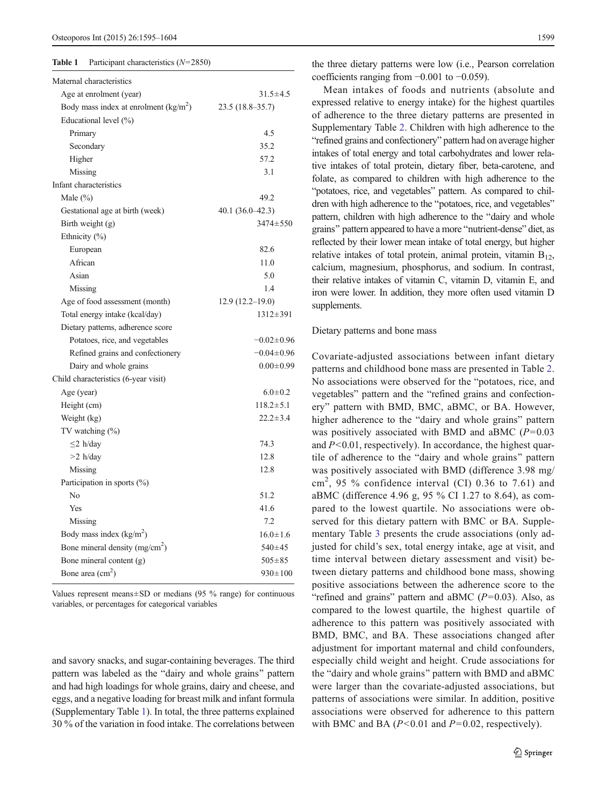#### <span id="page-4-0"></span>**Table 1** Participant characteristics  $(N=2850)$

| Maternal characteristics               |                   |
|----------------------------------------|-------------------|
| Age at enrolment (year)                | $31.5 \pm 4.5$    |
| Body mass index at enrolment $(kg/m2)$ | $23.5(18.8-35.7)$ |
| Educational level (%)                  |                   |
| Primary                                | 4.5               |
| Secondary                              | 35.2              |
| Higher                                 | 57.2              |
| Missing                                | 3.1               |
| Infant characteristics                 |                   |
| Male $(\%)$                            | 49.2              |
| Gestational age at birth (week)        | $40.1(36.0-42.3)$ |
| Birth weight $(g)$                     | 3474±550          |
| Ethnicity (%)                          |                   |
| European                               | 82.6              |
| African                                | 11.0              |
| Asian                                  | 5.0               |
| Missing                                | 1.4               |
| Age of food assessment (month)         | $12.9(12.2-19.0)$ |
| Total energy intake (kcal/day)         | $1312 \pm 391$    |
| Dietary patterns, adherence score      |                   |
| Potatoes, rice, and vegetables         | $-0.02 \pm 0.96$  |
| Refined grains and confectionery       | $-0.04 \pm 0.96$  |
| Dairy and whole grains                 | $0.00 \pm 0.99$   |
| Child characteristics (6-year visit)   |                   |
| Age (year)                             | $6.0 \pm 0.2$     |
| Height (cm)                            | $118.2 \pm 5.1$   |
| Weight (kg)                            | $22.2 \pm 3.4$    |
| TV watching $(\%)$                     |                   |
| $\leq$ 2 h/day                         | 74.3              |
| $>2$ h/day                             | 12.8              |
| Missing                                | 12.8              |
| Participation in sports (%)            |                   |
| No                                     | 51.2              |
| Yes                                    | 41.6              |
| Missing                                | 7.2               |
| Body mass index $(kg/m2)$              | $16.0 \pm 1.6$    |
| Bone mineral density $(mg/cm2)$        | $540+45$          |
| Bone mineral content (g)               | $505 \pm 85$      |
| Bone area $(cm2)$                      | $930 \pm 100$     |
|                                        |                   |

Values represent means $\pm$ SD or medians (95 % range) for continuous variables, or percentages for categorical variables

and savory snacks, and sugar-containing beverages. The third pattern was labeled as the "dairy and whole grains" pattern and had high loadings for whole grains, dairy and cheese, and eggs, and a negative loading for breast milk and infant formula (Supplementary Table 1). In total, the three patterns explained 30 % of the variation in food intake. The correlations between

the three dietary patterns were low (i.e., Pearson correlation coefficients ranging from −0.001 to −0.059).

Mean intakes of foods and nutrients (absolute and expressed relative to energy intake) for the highest quartiles of adherence to the three dietary patterns are presented in Supplementary Table 2. Children with high adherence to the "refined grains and confectionery" pattern had on average higher intakes of total energy and total carbohydrates and lower relative intakes of total protein, dietary fiber, beta-carotene, and folate, as compared to children with high adherence to the "potatoes, rice, and vegetables" pattern. As compared to children with high adherence to the "potatoes, rice, and vegetables" pattern, children with high adherence to the "dairy and whole grains" pattern appeared to have a more "nutrient-dense" diet, as reflected by their lower mean intake of total energy, but higher relative intakes of total protein, animal protein, vitamin  $B_{12}$ , calcium, magnesium, phosphorus, and sodium. In contrast, their relative intakes of vitamin C, vitamin D, vitamin E, and iron were lower. In addition, they more often used vitamin D supplements.

#### Dietary patterns and bone mass

Covariate-adjusted associations between infant dietary patterns and childhood bone mass are presented in Table [2.](#page-5-0) No associations were observed for the "potatoes, rice, and vegetables" pattern and the "refined grains and confectionery" pattern with BMD, BMC, aBMC, or BA. However, higher adherence to the "dairy and whole grains" pattern was positively associated with BMD and aBMC  $(P=0.03)$ and  $P<0.01$ , respectively). In accordance, the highest quartile of adherence to the "dairy and whole grains" pattern was positively associated with BMD (difference 3.98 mg/ cm<sup>2</sup> , 95 % confidence interval (CI) 0.36 to 7.61) and aBMC (difference 4.96 g, 95 % CI 1.27 to 8.64), as compared to the lowest quartile. No associations were observed for this dietary pattern with BMC or BA. Supplementary Table 3 presents the crude associations (only adjusted for child's sex, total energy intake, age at visit, and time interval between dietary assessment and visit) between dietary patterns and childhood bone mass, showing positive associations between the adherence score to the "refined and grains" pattern and aBMC  $(P=0.03)$ . Also, as compared to the lowest quartile, the highest quartile of adherence to this pattern was positively associated with BMD, BMC, and BA. These associations changed after adjustment for important maternal and child confounders, especially child weight and height. Crude associations for the "dairy and whole grains" pattern with BMD and aBMC were larger than the covariate-adjusted associations, but patterns of associations were similar. In addition, positive associations were observed for adherence to this pattern with BMC and BA  $(P<0.01$  and  $P=0.02$ , respectively).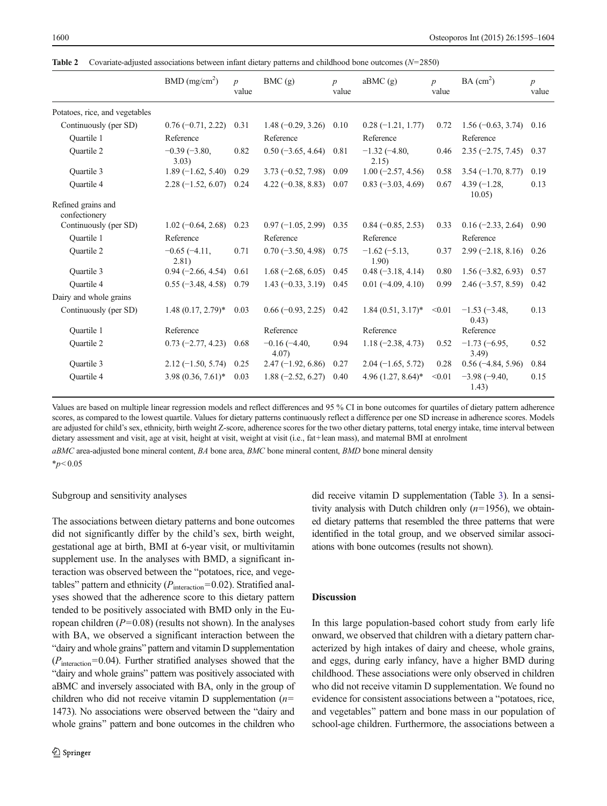|                                     | BMD (mg/cm <sup>2</sup> ) | $\boldsymbol{p}$<br>value | BMC(g)                     | $\boldsymbol{p}$<br>value | aBMC (g)                | $\boldsymbol{p}$<br>value | BA (cm <sup>2</sup> )    | $\boldsymbol{p}$<br>value |
|-------------------------------------|---------------------------|---------------------------|----------------------------|---------------------------|-------------------------|---------------------------|--------------------------|---------------------------|
| Potatoes, rice, and vegetables      |                           |                           |                            |                           |                         |                           |                          |                           |
| Continuously (per SD)               | $0.76(-0.71, 2.22)$       | 0.31                      | $1.48 (-0.29, 3.26)$       | 0.10                      | $0.28(-1.21, 1.77)$     | 0.72                      | $1.56(-0.63, 3.74)$      | 0.16                      |
| <b>Ouartile 1</b>                   | Reference                 |                           | Reference                  |                           | Reference               |                           | Reference                |                           |
| <b>Ouartile 2</b>                   | $-0.39(-3.80,$<br>3.03)   | 0.82                      | $0.50$ (-3.65, 4.64)       | 0.81                      | $-1.32(-4.80,$<br>2.15) | 0.46                      | $2.35(-2.75, 7.45)$      | 0.37                      |
| Ouartile 3                          | $1.89(-1.62, 5.40)$       | 0.29                      | $3.73 (-0.52, 7.98)$       | 0.09                      | $1.00(-2.57, 4.56)$     | 0.58                      | $3.54 (-1.70, 8.77)$     | 0.19                      |
| <b>Ouartile 4</b>                   | $2.28(-1.52, 6.07)$       | 0.24                      | $4.22(-0.38, 8.83)$        | 0.07                      | $0.83(-3.03, 4.69)$     | 0.67                      | $4.39(-1.28,$<br>10.05)  | 0.13                      |
| Refined grains and<br>confectionery |                           |                           |                            |                           |                         |                           |                          |                           |
| Continuously (per SD)               | $1.02(-0.64, 2.68)$       | 0.23                      | $0.97(-1.05, 2.99)$        | 0.35                      | $0.84 (-0.85, 2.53)$    | 0.33                      | $0.16 (-2.33, 2.64)$     | 0.90                      |
| <b>Ouartile 1</b>                   | Reference                 |                           | Reference                  |                           | Reference               |                           | Reference                |                           |
| <b>Ouartile 2</b>                   | $-0.65(-4.11,$<br>2.81)   | 0.71                      | $0.70(-3.50, 4.98)$        | 0.75                      | $-1.62(-5.13,$<br>1.90) | 0.37                      | $2.99(-2.18, 8.16)$      | 0.26                      |
| <b>Ouartile 3</b>                   | $0.94 (-2.66, 4.54)$      | 0.61                      | $1.68(-2.68, 6.05)$        | 0.45                      | $0.48 (-3.18, 4.14)$    | 0.80                      | $1.56(-3.82, 6.93)$      | 0.57                      |
| <b>Ouartile 4</b>                   | $0.55(-3.48, 4.58)$       | 0.79                      | $1.43 (-0.33, 3.19)$       | 0.45                      | $0.01(-4.09, 4.10)$     | 0.99                      | $2.46(-3.57, 8.59)$      | 0.42                      |
| Dairy and whole grains              |                           |                           |                            |                           |                         |                           |                          |                           |
| Continuously (per SD)               | $1.48(0.17, 2.79)$ *      | 0.03                      | $0.66 (-0.93, 2.25)$       | 0.42                      | $1.84(0.51, 3.17)^*$    | < 0.01                    | $-1.53(-3.48,$<br>(0.43) | 0.13                      |
| <b>Ouartile 1</b>                   | Reference                 |                           | Reference                  |                           | Reference               |                           | Reference                |                           |
| Quartile 2                          | $0.73 (-2.77, 4.23)$      | 0.68                      | $-0.16(-4.40,$<br>$4.07$ ) | 0.94                      | $1.18 (-2.38, 4.73)$    | 0.52                      | $-1.73(-6.95,$<br>3.49   | 0.52                      |
| <b>Ouartile 3</b>                   | $2.12(-1.50, 5.74)$       | 0.25                      | $2.47(-1.92, 6.86)$        | 0.27                      | $2.04 (-1.65, 5.72)$    | 0.28                      | $0.56$ ( $-4.84$ , 5.96) | 0.84                      |
| <b>Ouartile 4</b>                   | $3.98(0.36, 7.61)^*$      | 0.03                      | $1.88(-2.52, 6.27)$        | 0.40                      | 4.96 $(1.27, 8.64)^*$   | < 0.01                    | $-3.98(-9.40,$<br>1.43)  | 0.15                      |

<span id="page-5-0"></span>**Table 2** Covariate-adjusted associations between infant dietary patterns and childhood bone outcomes  $(N=2850)$ 

Values are based on multiple linear regression models and reflect differences and 95 % CI in bone outcomes for quartiles of dietary pattern adherence scores, as compared to the lowest quartile. Values for dietary patterns continuously reflect a difference per one SD increase in adherence scores. Models are adjusted for child's sex, ethnicity, birth weight Z-score, adherence scores for the two other dietary patterns, total energy intake, time interval between dietary assessment and visit, age at visit, height at visit, weight at visit (i.e., fat+lean mass), and maternal BMI at enrolment

 $aBMC$  area-adjusted bone mineral content,  $BA$  bone area,  $BMC$  bone mineral content,  $BMD$  bone mineral density

 $*_{p}<0.05$ 

## Subgroup and sensitivity analyses

The associations between dietary patterns and bone outcomes did not significantly differ by the child's sex, birth weight, gestational age at birth, BMI at 6-year visit, or multivitamin supplement use. In the analyses with BMD, a significant interaction was observed between the "potatoes, rice, and vegetables" pattern and ethnicity ( $P_{\text{interaction}}$ =0.02). Stratified analyses showed that the adherence score to this dietary pattern tended to be positively associated with BMD only in the European children  $(P=0.08)$  (results not shown). In the analyses with BA, we observed a significant interaction between the "dairy and whole grains" pattern and vitamin D supplementation  $(P_{\text{interaction}}=0.04)$ . Further stratified analyses showed that the "dairy and whole grains" pattern was positively associated with aBMC and inversely associated with BA, only in the group of children who did not receive vitamin D supplementation  $(n=$ 1473). No associations were observed between the "dairy and whole grains" pattern and bone outcomes in the children who did receive vitamin D supplementation (Table [3\)](#page-6-0). In a sensitivity analysis with Dutch children only  $(n=1956)$ , we obtained dietary patterns that resembled the three patterns that were identified in the total group, and we observed similar associations with bone outcomes (results not shown).

# Discussion

In this large population-based cohort study from early life onward, we observed that children with a dietary pattern characterized by high intakes of dairy and cheese, whole grains, and eggs, during early infancy, have a higher BMD during childhood. These associations were only observed in children who did not receive vitamin D supplementation. We found no evidence for consistent associations between a "potatoes, rice, and vegetables" pattern and bone mass in our population of school-age children. Furthermore, the associations between a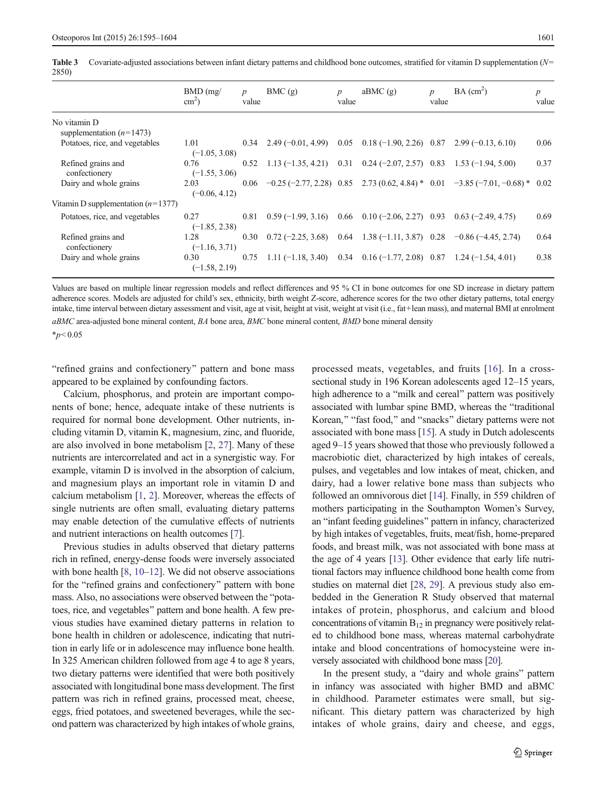<span id="page-6-0"></span>Table 3 Covariate-adjusted associations between infant dietary patterns and childhood bone outcomes, stratified for vitamin D supplementation  $(N=$ 2850)

|                                            | $BMD$ (mg/<br>$\text{cm}^2$ ) | $\boldsymbol{p}$<br>value | BMC(g)                                                                   | $\boldsymbol{p}$<br>value | aBMC(g)                          | $\boldsymbol{p}$<br>value | BA (cm <sup>2</sup> )                                                         | $\boldsymbol{p}$<br>value |
|--------------------------------------------|-------------------------------|---------------------------|--------------------------------------------------------------------------|---------------------------|----------------------------------|---------------------------|-------------------------------------------------------------------------------|---------------------------|
| No vitamin D<br>supplementation $(n=1473)$ |                               |                           |                                                                          |                           |                                  |                           |                                                                               |                           |
| Potatoes, rice, and vegetables             | 1.01<br>$(-1.05, 3.08)$       |                           | $0.34$ 2.49 (-0.01, 4.99)                                                |                           | $0.05$ $0.18$ (-1.90, 2.26) 0.87 |                           | $2.99(-0.13, 6.10)$                                                           | 0.06                      |
| Refined grains and<br>confectionery        | 0.76<br>$(-1.55, 3.06)$       | 0.52                      | $1.13(-1.35, 4.21)$ 0.31 0.24 (-2.07, 2.57) 0.83                         |                           |                                  |                           | $1.53(-1.94, 5.00)$                                                           | 0.37                      |
| Dairy and whole grains                     | 2.03<br>$(-0.06, 4.12)$       | 0.06                      |                                                                          |                           |                                  |                           | $-0.25(-2.77, 2.28)$ 0.85 2.73 (0.62, 4.84) * 0.01 $-3.85(-7.01, -0.68)$ *    | 0.02                      |
| Vitamin D supplementation $(n=1377)$       |                               |                           |                                                                          |                           |                                  |                           |                                                                               |                           |
| Potatoes, rice, and vegetables             | 0.27<br>$(-1.85, 2.38)$       | 0.81                      | $0.59(-1.99, 3.16)$                                                      |                           | $0.66$ $0.10$ (-2.06, 2.27) 0.93 |                           | $0.63(-2.49, 4.75)$                                                           | 0.69                      |
| Refined grains and<br>confectionery        | 1.28<br>$(-1.16, 3.71)$       | 0.30                      |                                                                          |                           |                                  |                           | $0.72 (-2.25, 3.68)$ $0.64$ $1.38 (-1.11, 3.87)$ $0.28$ $-0.86 (-4.45, 2.74)$ | 0.64                      |
| Dairy and whole grains                     | 0.30<br>$(-1.58, 2.19)$       | 0.75                      | 1.11 $(-1.18, 3.40)$ 0.34 0.16 $(-1.77, 2.08)$ 0.87 1.24 $(-1.54, 4.01)$ |                           |                                  |                           |                                                                               | 0.38                      |

Values are based on multiple linear regression models and reflect differences and 95 % CI in bone outcomes for one SD increase in dietary pattern adherence scores. Models are adjusted for child's sex, ethnicity, birth weight Z-score, adherence scores for the two other dietary patterns, total energy intake, time interval between dietary assessment and visit, age at visit, height at visit, weight at visit (i.e., fat+lean mass), and maternal BMI at enrolment  $aBMC$  area-adjusted bone mineral content,  $BA$  bone area,  $BMC$  bone mineral content,  $BMD$  bone mineral density

 $*_{p}<0.05$ 

"refined grains and confectionery" pattern and bone mass appeared to be explained by confounding factors.

Calcium, phosphorus, and protein are important components of bone; hence, adequate intake of these nutrients is required for normal bone development. Other nutrients, including vitamin D, vitamin K, magnesium, zinc, and fluoride, are also involved in bone metabolism [\[2](#page-8-0), [27](#page-9-0)]. Many of these nutrients are intercorrelated and act in a synergistic way. For example, vitamin D is involved in the absorption of calcium, and magnesium plays an important role in vitamin D and calcium metabolism [[1,](#page-8-0) [2](#page-8-0)]. Moreover, whereas the effects of single nutrients are often small, evaluating dietary patterns may enable detection of the cumulative effects of nutrients and nutrient interactions on health outcomes [\[7](#page-8-0)].

Previous studies in adults observed that dietary patterns rich in refined, energy-dense foods were inversely associated with bone health [[8,](#page-8-0) [10](#page-8-0)–[12](#page-8-0)]. We did not observe associations for the "refined grains and confectionery" pattern with bone mass. Also, no associations were observed between the "potatoes, rice, and vegetables" pattern and bone health. A few previous studies have examined dietary patterns in relation to bone health in children or adolescence, indicating that nutrition in early life or in adolescence may influence bone health. In 325 American children followed from age 4 to age 8 years, two dietary patterns were identified that were both positively associated with longitudinal bone mass development. The first pattern was rich in refined grains, processed meat, cheese, eggs, fried potatoes, and sweetened beverages, while the second pattern was characterized by high intakes of whole grains,

processed meats, vegetables, and fruits [[16\]](#page-9-0). In a crosssectional study in 196 Korean adolescents aged 12–15 years, high adherence to a "milk and cereal" pattern was positively associated with lumbar spine BMD, whereas the "traditional Korean," "fast food," and "snacks" dietary patterns were not associated with bone mass [[15](#page-9-0)]. A study in Dutch adolescents aged 9–15 years showed that those who previously followed a macrobiotic diet, characterized by high intakes of cereals, pulses, and vegetables and low intakes of meat, chicken, and dairy, had a lower relative bone mass than subjects who followed an omnivorous diet [\[14](#page-8-0)]. Finally, in 559 children of mothers participating in the Southampton Women's Survey, an "infant feeding guidelines" pattern in infancy, characterized by high intakes of vegetables, fruits, meat/fish, home-prepared foods, and breast milk, was not associated with bone mass at the age of 4 years [\[13\]](#page-8-0). Other evidence that early life nutritional factors may influence childhood bone health come from studies on maternal diet [\[28,](#page-9-0) [29](#page-9-0)]. A previous study also embedded in the Generation R Study observed that maternal intakes of protein, phosphorus, and calcium and blood concentrations of vitamin  $B_{12}$  in pregnancy were positively related to childhood bone mass, whereas maternal carbohydrate intake and blood concentrations of homocysteine were inversely associated with childhood bone mass [\[20](#page-9-0)].

In the present study, a "dairy and whole grains" pattern in infancy was associated with higher BMD and aBMC in childhood. Parameter estimates were small, but significant. This dietary pattern was characterized by high intakes of whole grains, dairy and cheese, and eggs,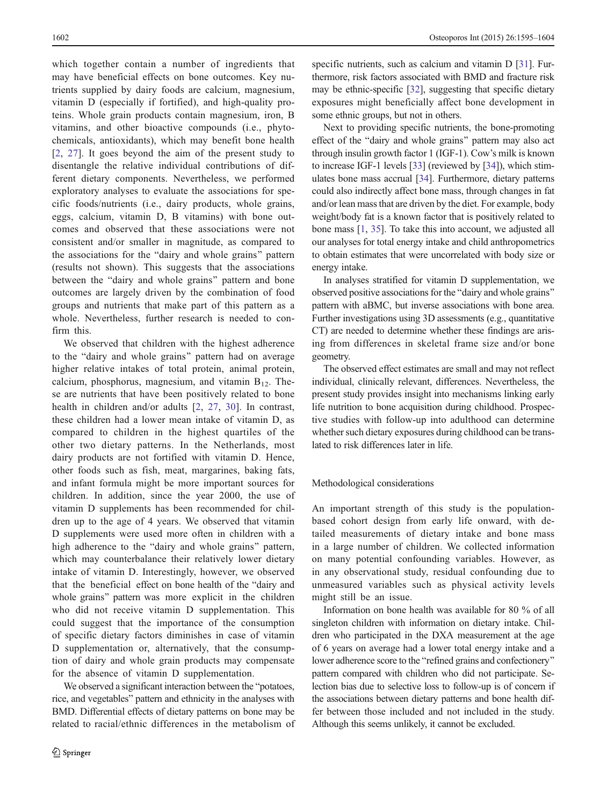which together contain a number of ingredients that may have beneficial effects on bone outcomes. Key nutrients supplied by dairy foods are calcium, magnesium, vitamin D (especially if fortified), and high-quality proteins. Whole grain products contain magnesium, iron, B vitamins, and other bioactive compounds (i.e., phytochemicals, antioxidants), which may benefit bone health [\[2](#page-8-0), [27\]](#page-9-0). It goes beyond the aim of the present study to disentangle the relative individual contributions of different dietary components. Nevertheless, we performed exploratory analyses to evaluate the associations for specific foods/nutrients (i.e., dairy products, whole grains, eggs, calcium, vitamin D, B vitamins) with bone outcomes and observed that these associations were not consistent and/or smaller in magnitude, as compared to the associations for the "dairy and whole grains" pattern (results not shown). This suggests that the associations between the "dairy and whole grains" pattern and bone outcomes are largely driven by the combination of food groups and nutrients that make part of this pattern as a whole. Nevertheless, further research is needed to confirm this.

We observed that children with the highest adherence to the "dairy and whole grains" pattern had on average higher relative intakes of total protein, animal protein, calcium, phosphorus, magnesium, and vitamin  $B_{12}$ . These are nutrients that have been positively related to bone health in children and/or adults [[2](#page-8-0), [27](#page-9-0), [30\]](#page-9-0). In contrast, these children had a lower mean intake of vitamin D, as compared to children in the highest quartiles of the other two dietary patterns. In the Netherlands, most dairy products are not fortified with vitamin D. Hence, other foods such as fish, meat, margarines, baking fats, and infant formula might be more important sources for children. In addition, since the year 2000, the use of vitamin D supplements has been recommended for children up to the age of 4 years. We observed that vitamin D supplements were used more often in children with a high adherence to the "dairy and whole grains" pattern, which may counterbalance their relatively lower dietary intake of vitamin D. Interestingly, however, we observed that the beneficial effect on bone health of the "dairy and whole grains" pattern was more explicit in the children who did not receive vitamin D supplementation. This could suggest that the importance of the consumption of specific dietary factors diminishes in case of vitamin D supplementation or, alternatively, that the consumption of dairy and whole grain products may compensate for the absence of vitamin D supplementation.

We observed a significant interaction between the "potatoes, rice, and vegetables" pattern and ethnicity in the analyses with BMD. Differential effects of dietary patterns on bone may be related to racial/ethnic differences in the metabolism of specific nutrients, such as calcium and vitamin D [\[31](#page-9-0)]. Furthermore, risk factors associated with BMD and fracture risk may be ethnic-specific [\[32](#page-9-0)], suggesting that specific dietary exposures might beneficially affect bone development in some ethnic groups, but not in others.

Next to providing specific nutrients, the bone-promoting effect of the "dairy and whole grains" pattern may also act through insulin growth factor 1 (IGF-1). Cow's milk is known to increase IGF-1 levels [[33\]](#page-9-0) (reviewed by [\[34\]](#page-9-0)), which stimulates bone mass accrual [\[34\]](#page-9-0). Furthermore, dietary patterns could also indirectly affect bone mass, through changes in fat and/or lean mass that are driven by the diet. For example, body weight/body fat is a known factor that is positively related to bone mass [[1,](#page-8-0) [35\]](#page-9-0). To take this into account, we adjusted all our analyses for total energy intake and child anthropometrics to obtain estimates that were uncorrelated with body size or energy intake.

In analyses stratified for vitamin D supplementation, we observed positive associations for the "dairy and whole grains" pattern with aBMC, but inverse associations with bone area. Further investigations using 3D assessments (e.g., quantitative CT) are needed to determine whether these findings are arising from differences in skeletal frame size and/or bone geometry.

The observed effect estimates are small and may not reflect individual, clinically relevant, differences. Nevertheless, the present study provides insight into mechanisms linking early life nutrition to bone acquisition during childhood. Prospective studies with follow-up into adulthood can determine whether such dietary exposures during childhood can be translated to risk differences later in life.

## Methodological considerations

An important strength of this study is the populationbased cohort design from early life onward, with detailed measurements of dietary intake and bone mass in a large number of children. We collected information on many potential confounding variables. However, as in any observational study, residual confounding due to unmeasured variables such as physical activity levels might still be an issue.

Information on bone health was available for 80 % of all singleton children with information on dietary intake. Children who participated in the DXA measurement at the age of 6 years on average had a lower total energy intake and a lower adherence score to the "refined grains and confectionery" pattern compared with children who did not participate. Selection bias due to selective loss to follow-up is of concern if the associations between dietary patterns and bone health differ between those included and not included in the study. Although this seems unlikely, it cannot be excluded.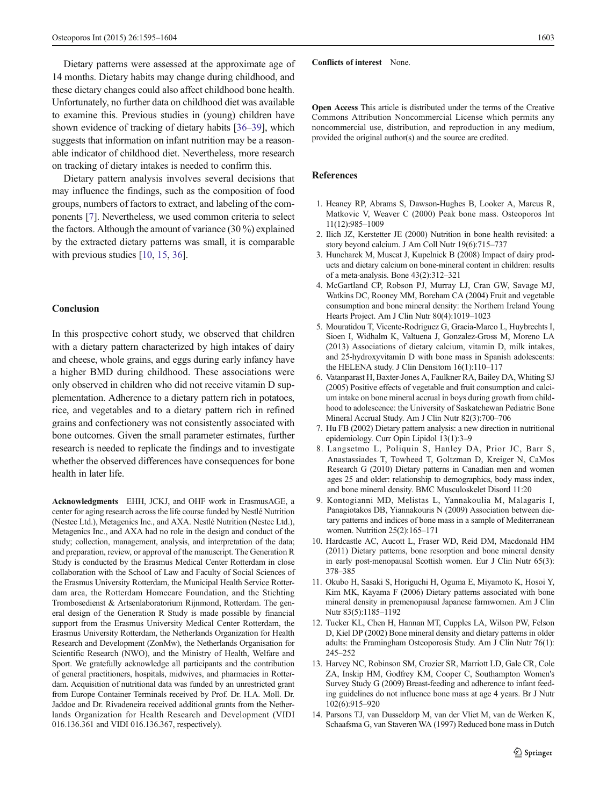<span id="page-8-0"></span>Dietary patterns were assessed at the approximate age of 14 months. Dietary habits may change during childhood, and these dietary changes could also affect childhood bone health. Unfortunately, no further data on childhood diet was available to examine this. Previous studies in (young) children have shown evidence of tracking of dietary habits [\[36](#page-9-0)–[39\]](#page-9-0), which suggests that information on infant nutrition may be a reasonable indicator of childhood diet. Nevertheless, more research on tracking of dietary intakes is needed to confirm this.

Dietary pattern analysis involves several decisions that may influence the findings, such as the composition of food groups, numbers of factors to extract, and labeling of the components [7]. Nevertheless, we used common criteria to select the factors. Although the amount of variance (30 %) explained by the extracted dietary patterns was small, it is comparable with previous studies [10, [15](#page-9-0), [36\]](#page-9-0).

#### Conclusion

In this prospective cohort study, we observed that children with a dietary pattern characterized by high intakes of dairy and cheese, whole grains, and eggs during early infancy have a higher BMD during childhood. These associations were only observed in children who did not receive vitamin D supplementation. Adherence to a dietary pattern rich in potatoes, rice, and vegetables and to a dietary pattern rich in refined grains and confectionery was not consistently associated with bone outcomes. Given the small parameter estimates, further research is needed to replicate the findings and to investigate whether the observed differences have consequences for bone health in later life.

Acknowledgments EHH, JCKJ, and OHF work in ErasmusAGE, a center for aging research across the life course funded by Nestlé Nutrition (Nestec Ltd.), Metagenics Inc., and AXA. Nestlé Nutrition (Nestec Ltd.), Metagenics Inc., and AXA had no role in the design and conduct of the study; collection, management, analysis, and interpretation of the data; and preparation, review, or approval of the manuscript. The Generation R Study is conducted by the Erasmus Medical Center Rotterdam in close collaboration with the School of Law and Faculty of Social Sciences of the Erasmus University Rotterdam, the Municipal Health Service Rotterdam area, the Rotterdam Homecare Foundation, and the Stichting Trombosedienst & Artsenlaboratorium Rijnmond, Rotterdam. The general design of the Generation R Study is made possible by financial support from the Erasmus University Medical Center Rotterdam, the Erasmus University Rotterdam, the Netherlands Organization for Health Research and Development (ZonMw), the Netherlands Organisation for Scientific Research (NWO), and the Ministry of Health, Welfare and Sport. We gratefully acknowledge all participants and the contribution of general practitioners, hospitals, midwives, and pharmacies in Rotterdam. Acquisition of nutritional data was funded by an unrestricted grant from Europe Container Terminals received by Prof. Dr. H.A. Moll. Dr. Jaddoe and Dr. Rivadeneira received additional grants from the Netherlands Organization for Health Research and Development (VIDI 016.136.361 and VIDI 016.136.367, respectively).

Conflicts of interest None.

Open Access This article is distributed under the terms of the Creative Commons Attribution Noncommercial License which permits any noncommercial use, distribution, and reproduction in any medium, provided the original author(s) and the source are credited.

## References

- 1. Heaney RP, Abrams S, Dawson-Hughes B, Looker A, Marcus R, Matkovic V, Weaver C (2000) Peak bone mass. Osteoporos Int 11(12):985–1009
- 2. Ilich JZ, Kerstetter JE (2000) Nutrition in bone health revisited: a story beyond calcium. J Am Coll Nutr 19(6):715–737
- 3. Huncharek M, Muscat J, Kupelnick B (2008) Impact of dairy products and dietary calcium on bone-mineral content in children: results of a meta-analysis. Bone 43(2):312–321
- 4. McGartland CP, Robson PJ, Murray LJ, Cran GW, Savage MJ, Watkins DC, Rooney MM, Boreham CA (2004) Fruit and vegetable consumption and bone mineral density: the Northern Ireland Young Hearts Project. Am J Clin Nutr 80(4):1019–1023
- 5. Mouratidou T, Vicente-Rodriguez G, Gracia-Marco L, Huybrechts I, Sioen I, Widhalm K, Valtuena J, Gonzalez-Gross M, Moreno LA (2013) Associations of dietary calcium, vitamin D, milk intakes, and 25-hydroxyvitamin D with bone mass in Spanish adolescents: the HELENA study. J Clin Densitom 16(1):110–117
- 6. Vatanparast H, Baxter-Jones A, Faulkner RA, Bailey DA, Whiting SJ (2005) Positive effects of vegetable and fruit consumption and calcium intake on bone mineral accrual in boys during growth from childhood to adolescence: the University of Saskatchewan Pediatric Bone Mineral Accrual Study. Am J Clin Nutr 82(3):700–706
- 7. Hu FB (2002) Dietary pattern analysis: a new direction in nutritional epidemiology. Curr Opin Lipidol 13(1):3–9
- 8. Langsetmo L, Poliquin S, Hanley DA, Prior JC, Barr S, Anastassiades T, Towheed T, Goltzman D, Kreiger N, CaMos Research G (2010) Dietary patterns in Canadian men and women ages 25 and older: relationship to demographics, body mass index, and bone mineral density. BMC Musculoskelet Disord 11:20
- 9. Kontogianni MD, Melistas L, Yannakoulia M, Malagaris I, Panagiotakos DB, Yiannakouris N (2009) Association between dietary patterns and indices of bone mass in a sample of Mediterranean women. Nutrition 25(2):165–171
- 10. Hardcastle AC, Aucott L, Fraser WD, Reid DM, Macdonald HM (2011) Dietary patterns, bone resorption and bone mineral density in early post-menopausal Scottish women. Eur J Clin Nutr 65(3): 378–385
- 11. Okubo H, Sasaki S, Horiguchi H, Oguma E, Miyamoto K, Hosoi Y, Kim MK, Kayama F (2006) Dietary patterns associated with bone mineral density in premenopausal Japanese farmwomen. Am J Clin Nutr 83(5):1185–1192
- 12. Tucker KL, Chen H, Hannan MT, Cupples LA, Wilson PW, Felson D, Kiel DP (2002) Bone mineral density and dietary patterns in older adults: the Framingham Osteoporosis Study. Am J Clin Nutr 76(1): 245–252
- 13. Harvey NC, Robinson SM, Crozier SR, Marriott LD, Gale CR, Cole ZA, Inskip HM, Godfrey KM, Cooper C, Southampton Women's Survey Study G (2009) Breast-feeding and adherence to infant feeding guidelines do not influence bone mass at age 4 years. Br J Nutr 102(6):915–920
- 14. Parsons TJ, van Dusseldorp M, van der Vliet M, van de Werken K, Schaafsma G, van Staveren WA (1997) Reduced bone mass in Dutch